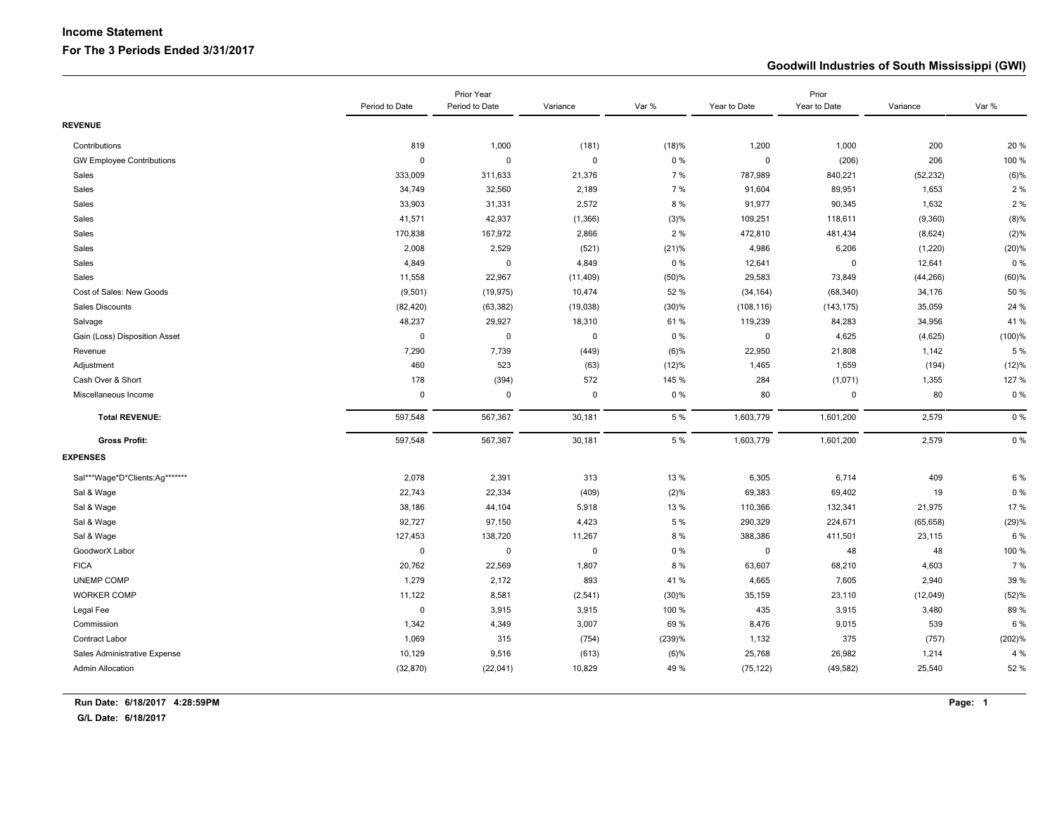# **Income Statement**

#### **For The 3 Periods Ended 3/31/2017**

#### **Goodwill Industries of South Mississippi (GWI)**

|                                  | Prior Year     |                |             | Prior   |              |              |           |           |
|----------------------------------|----------------|----------------|-------------|---------|--------------|--------------|-----------|-----------|
|                                  | Period to Date | Period to Date | Variance    | Var %   | Year to Date | Year to Date | Variance  | Var %     |
| <b>REVENUE</b>                   |                |                |             |         |              |              |           |           |
| Contributions                    | 819            | 1,000          | (181)       | (18)%   | 1,200        | 1,000        | 200       | 20%       |
| <b>GW Employee Contributions</b> | $\Omega$       | $\mathbf 0$    | $\mathbf 0$ | 0%      | $\mathbf 0$  | (206)        | 206       | 100 %     |
| Sales                            | 333,009        | 311,633        | 21,376      | 7 %     | 787,989      | 840,221      | (52, 232) | (6)%      |
| Sales                            | 34,749         | 32,560         | 2,189       | 7 %     | 91,604       | 89,951       | 1,653     | 2%        |
| Sales                            | 33,903         | 31,331         | 2,572       | 8 %     | 91,977       | 90,345       | 1,632     | 2 %       |
| Sales                            | 41,571         | 42,937         | (1, 366)    | (3)%    | 109,251      | 118,611      | (9, 360)  | (8)%      |
| Sales                            | 170,838        | 167,972        | 2,866       | 2 %     | 472,810      | 481,434      | (8,624)   | (2)%      |
| Sales                            | 2,008          | 2,529          | (521)       | (21)%   | 4,986        | 6,206        | (1,220)   | (20)%     |
| Sales                            | 4,849          | $\pmb{0}$      | 4,849       | 0%      | 12,641       | 0            | 12,641    | 0%        |
| Sales                            | 11,558         | 22,967         | (11, 409)   | (50)%   | 29,583       | 73,849       | (44, 266) | $(60)$ %  |
| Cost of Sales: New Goods         | (9, 501)       | (19, 975)      | 10,474      | 52 %    | (34, 164)    | (68, 340)    | 34,176    | 50 %      |
| Sales Discounts                  | (82, 420)      | (63, 382)      | (19, 038)   | (30)%   | (108, 116)   | (143, 175)   | 35,059    | 24 %      |
| Salvage                          | 48,237         | 29,927         | 18,310      | 61%     | 119,239      | 84,283       | 34,956    | 41%       |
| Gain (Loss) Disposition Asset    | $\pmb{0}$      | $\mathbf 0$    | $\mathbf 0$ | 0%      | $\mathbf 0$  | 4,625        | (4,625)   | $(100)$ % |
| Revenue                          | 7,290          | 7,739          | (449)       | $(6)$ % | 22,950       | 21,808       | 1,142     | 5 %       |
| Adjustment                       | 460            | 523            | (63)        | (12)%   | 1,465        | 1,659        | (194)     | (12)%     |
| Cash Over & Short                | 178            | (394)          | 572         | 145 %   | 284          | (1,071)      | 1,355     | 127 %     |
| Miscellaneous Income             | $\mathbf 0$    | 0              | $\mathbf 0$ | $0\%$   | 80           | 0            | 80        | 0%        |
| <b>Total REVENUE:</b>            | 597,548        | 567,367        | 30,181      | 5 %     | 1,603,779    | 1,601,200    | 2,579     | 0%        |
| <b>Gross Profit:</b>             | 597,548        | 567,367        | 30,181      | 5 %     | 1,603,779    | 1,601,200    | 2,579     | 0%        |
| <b>EXPENSES</b>                  |                |                |             |         |              |              |           |           |
| Sal***Wage*D*Clients:Ag*******   | 2,078          | 2,391          | 313         | 13 %    | 6,305        | 6,714        | 409       | 6 %       |
| Sal & Wage                       | 22,743         | 22,334         | (409)       | (2)%    | 69,383       | 69,402       | 19        | 0%        |
| Sal & Wage                       | 38,186         | 44,104         | 5,918       | 13 %    | 110,366      | 132,341      | 21,975    | 17%       |
| Sal & Wage                       | 92,727         | 97,150         | 4,423       | 5 %     | 290,329      | 224,671      | (65, 658) | (29)%     |
| Sal & Wage                       | 127,453        | 138,720        | 11,267      | 8 %     | 388,386      | 411,501      | 23,115    | 6 %       |
| GoodworX Labor                   | $\mathbf 0$    | $\mathbf 0$    | 0           | 0%      | $\mathbf 0$  | 48           | 48        | 100 %     |
| <b>FICA</b>                      | 20,762         | 22,569         | 1,807       | 8 %     | 63,607       | 68,210       | 4,603     | 7 %       |
| UNEMP COMP                       | 1,279          | 2,172          | 893         | 41 %    | 4,665        | 7,605        | 2,940     | 39 %      |
| <b>WORKER COMP</b>               | 11,122         | 8,581          | (2,541)     | (30)%   | 35,159       | 23,110       | (12,049)  | (52)%     |
| Legal Fee                        | $\mathbf 0$    | 3,915          | 3,915       | 100 %   | 435          | 3,915        | 3,480     | 89%       |
| Commission                       | 1,342          | 4,349          | 3,007       | 69 %    | 8,476        | 9,015        | 539       | 6 %       |
| Contract Labor                   | 1,069          | 315            | (754)       | (239)%  | 1,132        | 375          | (757)     | (202)%    |
| Sales Administrative Expense     | 10,129         | 9,516          | (613)       | (6)%    | 25,768       | 26,982       | 1,214     | 4 %       |
| <b>Admin Allocation</b>          | (32, 870)      | (22,041)       | 10,829      | 49 %    | (75, 122)    | (49, 582)    | 25,540    | 52 %      |
|                                  |                |                |             |         |              |              |           |           |

**G/L Date: 6/18/2017**